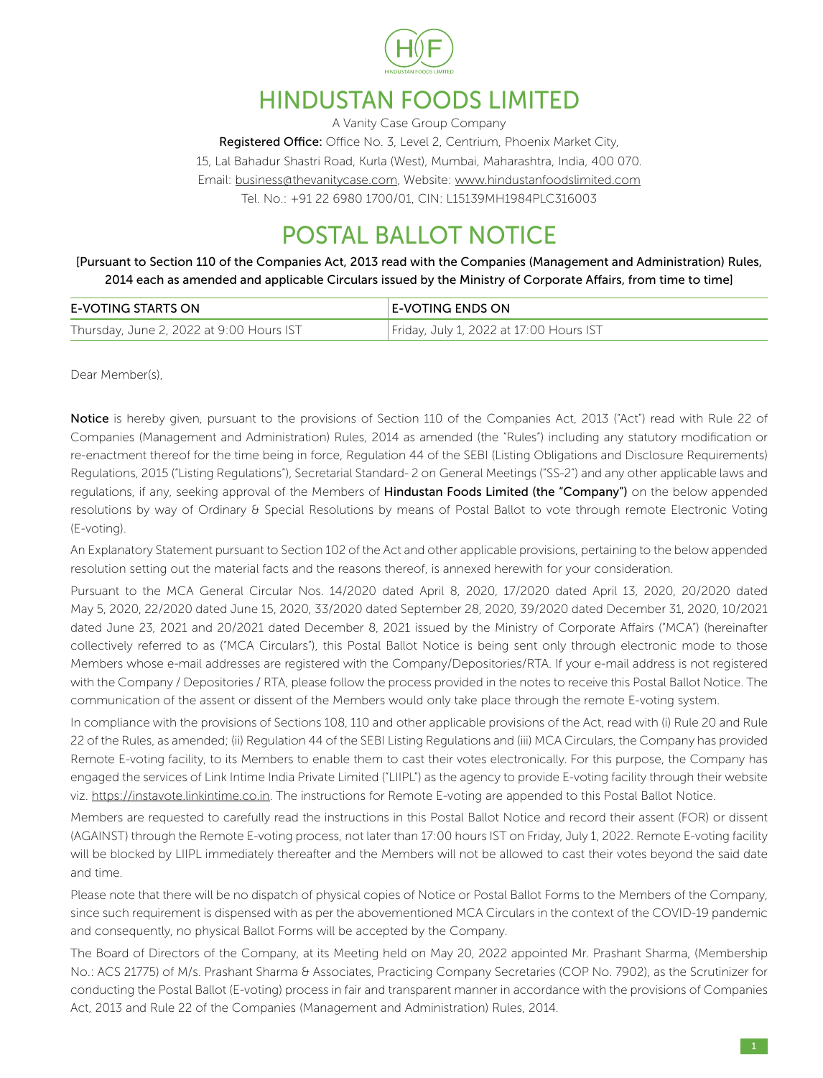

# HINDUSTAN FOODS LIMITED

A Vanity Case Group Company Registered Office: Office No. 3, Level 2, Centrium, Phoenix Market City, 15, Lal Bahadur Shastri Road, Kurla (West), Mumbai, Maharashtra, India, 400 070. Email: business@thevanitycase.com, Website: www.hindustanfoodslimited.com Tel. No.: +91 22 6980 1700/01, CIN: L15139MH1984PLC316003

# POSTAL BALLOT NOTICE

[Pursuant to Section 110 of the Companies Act, 2013 read with the Companies (Management and Administration) Rules, 2014 each as amended and applicable Circulars issued by the Ministry of Corporate Affairs, from time to time]

| E-VOTING STARTS ON                       | E-VOTING ENDS ON                        |
|------------------------------------------|-----------------------------------------|
| Thursday, June 2, 2022 at 9:00 Hours IST | Friday, July 1, 2022 at 17:00 Hours IST |

Dear Member(s),

Notice is hereby given, pursuant to the provisions of Section 110 of the Companies Act, 2013 ("Act") read with Rule 22 of Companies (Management and Administration) Rules, 2014 as amended (the "Rules") including any statutory modification or re-enactment thereof for the time being in force, Regulation 44 of the SEBI (Listing Obligations and Disclosure Requirements) Regulations, 2015 ("Listing Regulations"), Secretarial Standard- 2 on General Meetings ("SS-2") and any other applicable laws and regulations, if any, seeking approval of the Members of Hindustan Foods Limited (the "Company") on the below appended resolutions by way of Ordinary & Special Resolutions by means of Postal Ballot to vote through remote Electronic Voting (E-voting).

An Explanatory Statement pursuant to Section 102 of the Act and other applicable provisions, pertaining to the below appended resolution setting out the material facts and the reasons thereof, is annexed herewith for your consideration.

Pursuant to the MCA General Circular Nos. 14/2020 dated April 8, 2020, 17/2020 dated April 13, 2020, 20/2020 dated May 5, 2020, 22/2020 dated June 15, 2020, 33/2020 dated September 28, 2020, 39/2020 dated December 31, 2020, 10/2021 dated June 23, 2021 and 20/2021 dated December 8, 2021 issued by the Ministry of Corporate Affairs ("MCA") (hereinafter collectively referred to as ("MCA Circulars"), this Postal Ballot Notice is being sent only through electronic mode to those Members whose e-mail addresses are registered with the Company/Depositories/RTA. If your e-mail address is not registered with the Company / Depositories / RTA, please follow the process provided in the notes to receive this Postal Ballot Notice. The communication of the assent or dissent of the Members would only take place through the remote E-voting system.

In compliance with the provisions of Sections 108, 110 and other applicable provisions of the Act, read with (i) Rule 20 and Rule 22 of the Rules, as amended; (ii) Regulation 44 of the SEBI Listing Regulations and (iii) MCA Circulars, the Company has provided Remote E-voting facility, to its Members to enable them to cast their votes electronically. For this purpose, the Company has engaged the services of Link Intime India Private Limited ("LIIPL") as the agency to provide E-voting facility through their website viz. https://instavote.linkintime.co.in. The instructions for Remote E-voting are appended to this Postal Ballot Notice.

Members are requested to carefully read the instructions in this Postal Ballot Notice and record their assent (FOR) or dissent (AGAINST) through the Remote E-voting process, not later than 17:00 hours IST on Friday, July 1, 2022. Remote E-voting facility will be blocked by LIIPL immediately thereafter and the Members will not be allowed to cast their votes beyond the said date and time.

Please note that there will be no dispatch of physical copies of Notice or Postal Ballot Forms to the Members of the Company, since such requirement is dispensed with as per the abovementioned MCA Circulars in the context of the COVID-19 pandemic and consequently, no physical Ballot Forms will be accepted by the Company.

The Board of Directors of the Company, at its Meeting held on May 20, 2022 appointed Mr. Prashant Sharma, (Membership No.: ACS 21775) of M/s. Prashant Sharma & Associates, Practicing Company Secretaries (COP No. 7902), as the Scrutinizer for conducting the Postal Ballot (E-voting) process in fair and transparent manner in accordance with the provisions of Companies Act, 2013 and Rule 22 of the Companies (Management and Administration) Rules, 2014.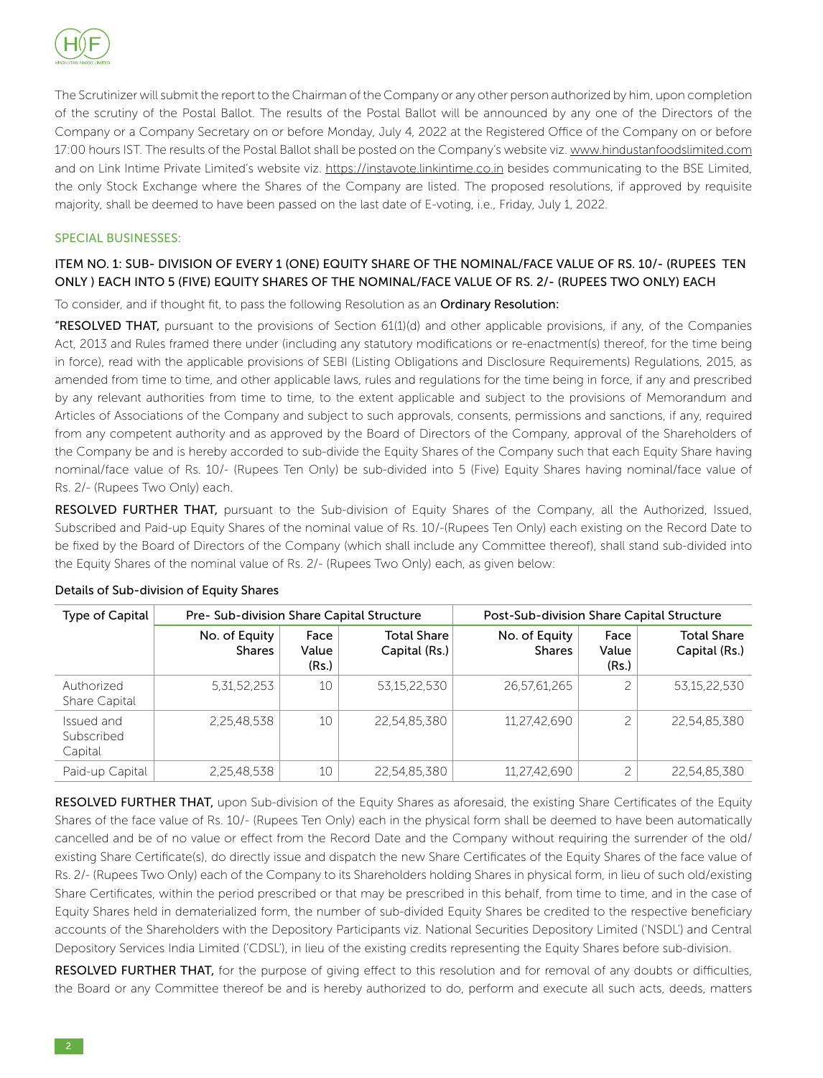

The Scrutinizer will submit the report to the Chairman of the Company or any other person authorized by him, upon completion of the scrutiny of the Postal Ballot. The results of the Postal Ballot will be announced by any one of the Directors of the Company or a Company Secretary on or before Monday, July 4, 2022 at the Registered Office of the Company on or before 17:00 hours IST. The results of the Postal Ballot shall be posted on the Company's website viz. www.hindustanfoodslimited.com and on Link Intime Private Limited's website viz. https://instavote.linkintime.co.in besides communicating to the BSE Limited, the only Stock Exchange where the Shares of the Company are listed. The proposed resolutions, if approved by requisite majority, shall be deemed to have been passed on the last date of E-voting, i.e., Friday, July 1, 2022.

### SPECIAL BUSINESSES:

### ITEM NO. 1: SUB- DIVISION OF EVERY 1 (ONE) EQUITY SHARE OF THE NOMINAL/FACE VALUE OF RS. 10/- (RUPEES TEN ONLY ) EACH INTO 5 (FIVE) EQUITY SHARES OF THE NOMINAL/FACE VALUE OF RS. 2/- (RUPEES TWO ONLY) EACH

To consider, and if thought fit, to pass the following Resolution as an Ordinary Resolution:

"RESOLVED THAT, pursuant to the provisions of Section 61(1)(d) and other applicable provisions, if any, of the Companies Act, 2013 and Rules framed there under (including any statutory modifications or re-enactment(s) thereof, for the time being in force), read with the applicable provisions of SEBI (Listing Obligations and Disclosure Requirements) Regulations, 2015, as amended from time to time, and other applicable laws, rules and regulations for the time being in force, if any and prescribed by any relevant authorities from time to time, to the extent applicable and subject to the provisions of Memorandum and Articles of Associations of the Company and subject to such approvals, consents, permissions and sanctions, if any, required from any competent authority and as approved by the Board of Directors of the Company, approval of the Shareholders of the Company be and is hereby accorded to sub-divide the Equity Shares of the Company such that each Equity Share having nominal/face value of Rs. 10/- (Rupees Ten Only) be sub-divided into 5 (Five) Equity Shares having nominal/face value of Rs. 2/- (Rupees Two Only) each.

RESOLVED FURTHER THAT, pursuant to the Sub-division of Equity Shares of the Company, all the Authorized, Issued, Subscribed and Paid-up Equity Shares of the nominal value of Rs. 10/-(Rupees Ten Only) each existing on the Record Date to be fixed by the Board of Directors of the Company (which shall include any Committee thereof), shall stand sub-divided into the Equity Shares of the nominal value of Rs. 2/- (Rupees Two Only) each, as given below:

| Type of Capital                     | Pre- Sub-division Share Capital Structure |                        |                                     | Post-Sub-division Share Capital Structure |                        |                                     |
|-------------------------------------|-------------------------------------------|------------------------|-------------------------------------|-------------------------------------------|------------------------|-------------------------------------|
|                                     | No. of Equity<br><b>Shares</b>            | Face<br>Value<br>(Rs.) | <b>Total Share</b><br>Capital (Rs.) | No. of Equity<br><b>Shares</b>            | Face<br>Value<br>(Rs.) | <b>Total Share</b><br>Capital (Rs.) |
| Authorized<br>Share Capital         | 5.31.52.253                               | 10                     | 53.15.22.530                        | 26,57,61,265                              |                        | 53.15.22.530                        |
| Issued and<br>Subscribed<br>Capital | 2.25.48.538                               | 10                     | 22.54.85.380                        | 11,27,42,690                              |                        | 22,54,85,380                        |
| Paid-up Capital                     | 2,25,48,538                               | 10                     | 22,54,85,380                        | 11,27,42,690                              |                        | 22,54,85,380                        |

### Details of Sub-division of Equity Shares

RESOLVED FURTHER THAT, upon Sub-division of the Equity Shares as aforesaid, the existing Share Certificates of the Equity Shares of the face value of Rs. 10/- (Rupees Ten Only) each in the physical form shall be deemed to have been automatically cancelled and be of no value or effect from the Record Date and the Company without requiring the surrender of the old/ existing Share Certificate(s), do directly issue and dispatch the new Share Certificates of the Equity Shares of the face value of Rs. 2/- (Rupees Two Only) each of the Company to its Shareholders holding Shares in physical form, in lieu of such old/existing Share Certificates, within the period prescribed or that may be prescribed in this behalf, from time to time, and in the case of Equity Shares held in dematerialized form, the number of sub-divided Equity Shares be credited to the respective beneficiary accounts of the Shareholders with the Depository Participants viz. National Securities Depository Limited ('NSDL') and Central Depository Services India Limited ('CDSL'), in lieu of the existing credits representing the Equity Shares before sub-division.

RESOLVED FURTHER THAT, for the purpose of giving effect to this resolution and for removal of any doubts or difficulties, the Board or any Committee thereof be and is hereby authorized to do, perform and execute all such acts, deeds, matters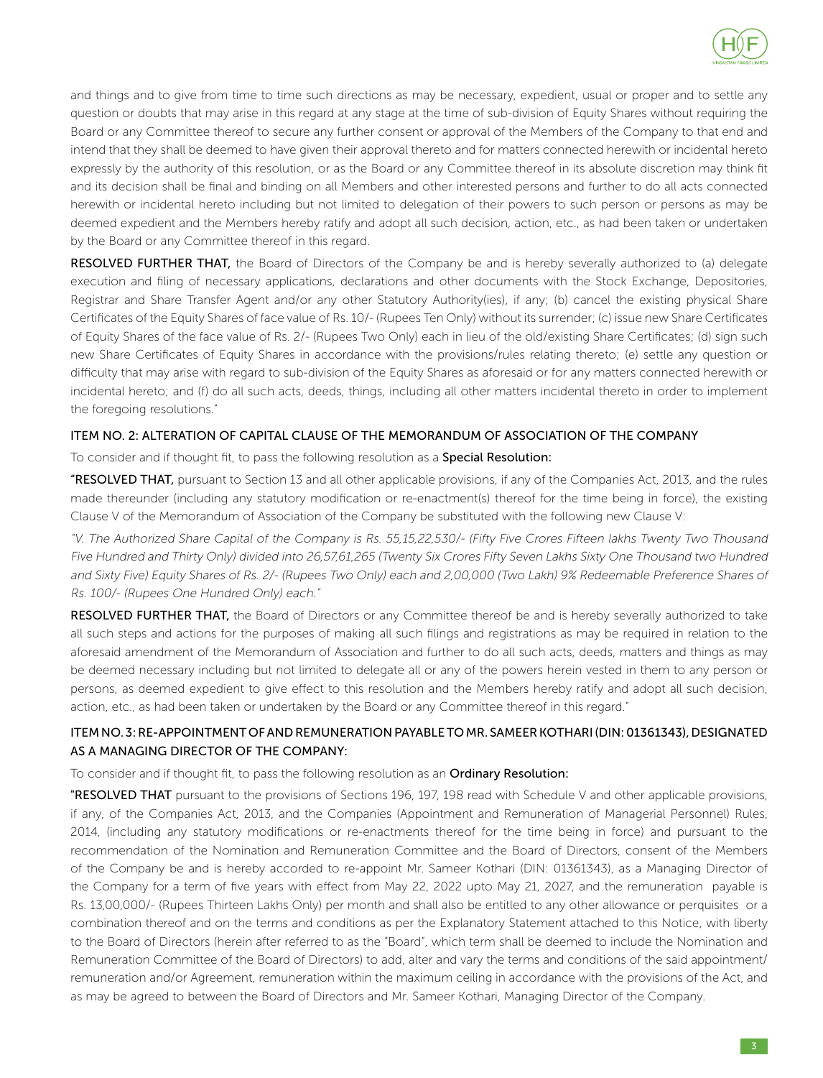

and things and to give from time to time such directions as may be necessary, expedient, usual or proper and to settle any question or doubts that may arise in this regard at any stage at the time of sub-division of Equity Shares without requiring the Board or any Committee thereof to secure any further consent or approval of the Members of the Company to that end and intend that they shall be deemed to have given their approval thereto and for matters connected herewith or incidental hereto expressly by the authority of this resolution, or as the Board or any Committee thereof in its absolute discretion may think fit and its decision shall be final and binding on all Members and other interested persons and further to do all acts connected herewith or incidental hereto including but not limited to delegation of their powers to such person or persons as may be deemed expedient and the Members hereby ratify and adopt all such decision, action, etc., as had been taken or undertaken by the Board or any Committee thereof in this regard.

RESOLVED FURTHER THAT, the Board of Directors of the Company be and is hereby severally authorized to (a) delegate execution and filing of necessary applications, declarations and other documents with the Stock Exchange, Depositories, Registrar and Share Transfer Agent and/or any other Statutory Authority(ies), if any; (b) cancel the existing physical Share Certificates of the Equity Shares of face value of Rs. 10/- (Rupees Ten Only) without its surrender; (c) issue new Share Certificates of Equity Shares of the face value of Rs. 2/- (Rupees Two Only) each in lieu of the old/existing Share Certificates; (d) sign such new Share Certificates of Equity Shares in accordance with the provisions/rules relating thereto; (e) settle any question or difficulty that may arise with regard to sub-division of the Equity Shares as aforesaid or for any matters connected herewith or incidental hereto; and (f) do all such acts, deeds, things, including all other matters incidental thereto in order to implement the foregoing resolutions."

### ITEM NO. 2: ALTERATION OF CAPITAL CLAUSE OF THE MEMORANDUM OF ASSOCIATION OF THE COMPANY

To consider and if thought fit, to pass the following resolution as a **Special Resolution**:

"RESOLVED THAT, pursuant to Section 13 and all other applicable provisions, if any of the Companies Act, 2013, and the rules made thereunder (including any statutory modification or re-enactment(s) thereof for the time being in force), the existing Clause V of the Memorandum of Association of the Company be substituted with the following new Clause V:

"V. The Authorized Share Capital of the Company is Rs. 55,15,22,530/- (Fifty Five Crores Fifteen lakhs Twenty Two Thousand Five Hundred and Thirty Only) divided into 26,57,61,265 (Twenty Six Crores Fifty Seven Lakhs Sixty One Thousand two Hundred and Sixty Five) Equity Shares of Rs. 2/- (Rupees Two Only) each and 2,00,000 (Two Lakh) 9% Redeemable Preference Shares of Rs. 100/- (Rupees One Hundred Only) each."

RESOLVED FURTHER THAT, the Board of Directors or any Committee thereof be and is hereby severally authorized to take all such steps and actions for the purposes of making all such filings and registrations as may be required in relation to the aforesaid amendment of the Memorandum of Association and further to do all such acts, deeds, matters and things as may be deemed necessary including but not limited to delegate all or any of the powers herein vested in them to any person or persons, as deemed expedient to give effect to this resolution and the Members hereby ratify and adopt all such decision, action, etc., as had been taken or undertaken by the Board or any Committee thereof in this regard."

### ITEM NO. 3: RE-APPOINTMENT OF AND REMUNERATION PAYABLE TO MR. SAMEER KOTHARI (DIN: 01361343), DESIGNATED AS A MANAGING DIRECTOR OF THE COMPANY:

### To consider and if thought fit, to pass the following resolution as an Ordinary Resolution:

"RESOLVED THAT pursuant to the provisions of Sections 196, 197, 198 read with Schedule V and other applicable provisions, if any, of the Companies Act, 2013, and the Companies (Appointment and Remuneration of Managerial Personnel) Rules, 2014, (including any statutory modifications or re-enactments thereof for the time being in force) and pursuant to the recommendation of the Nomination and Remuneration Committee and the Board of Directors, consent of the Members of the Company be and is hereby accorded to re-appoint Mr. Sameer Kothari (DIN: 01361343), as a Managing Director of the Company for a term of five years with effect from May 22, 2022 upto May 21, 2027, and the remuneration payable is Rs. 13,00,000/- (Rupees Thirteen Lakhs Only) per month and shall also be entitled to any other allowance or perquisites or a combination thereof and on the terms and conditions as per the Explanatory Statement attached to this Notice, with liberty to the Board of Directors (herein after referred to as the "Board", which term shall be deemed to include the Nomination and Remuneration Committee of the Board of Directors) to add, alter and vary the terms and conditions of the said appointment/ remuneration and/or Agreement, remuneration within the maximum ceiling in accordance with the provisions of the Act, and as may be agreed to between the Board of Directors and Mr. Sameer Kothari, Managing Director of the Company.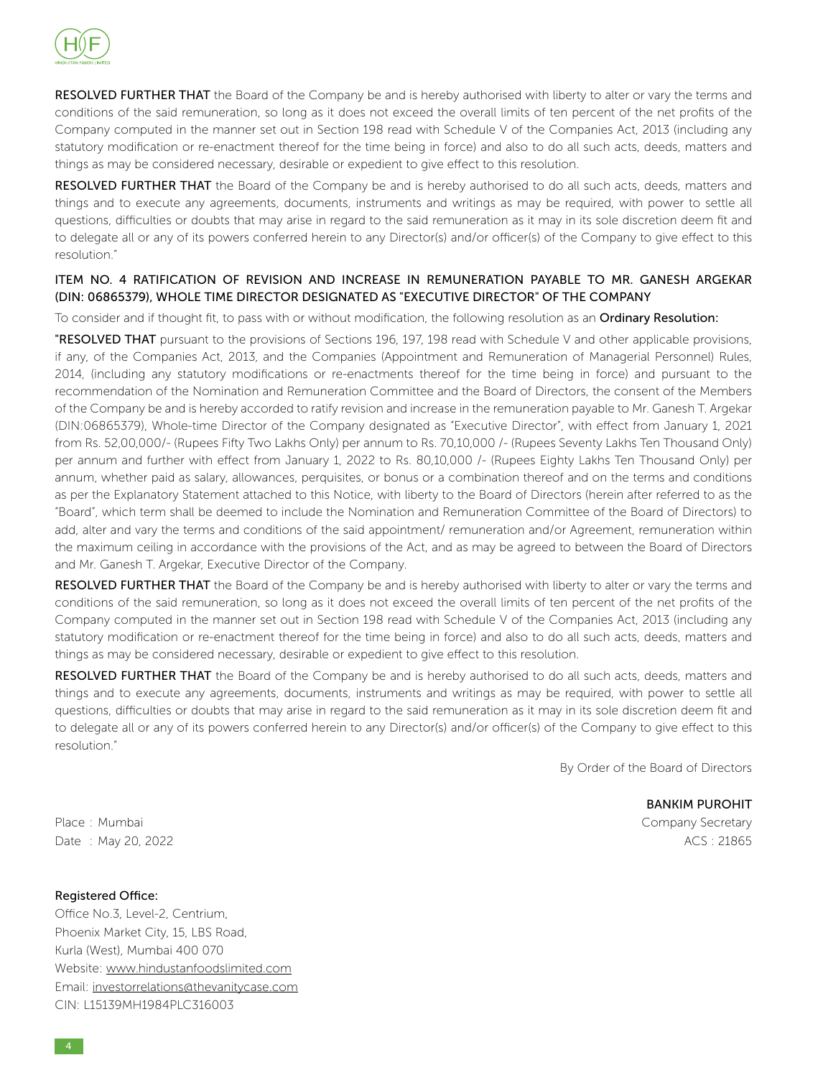

RESOLVED FURTHER THAT the Board of the Company be and is hereby authorised with liberty to alter or vary the terms and conditions of the said remuneration, so long as it does not exceed the overall limits of ten percent of the net profits of the Company computed in the manner set out in Section 198 read with Schedule V of the Companies Act, 2013 (including any statutory modification or re-enactment thereof for the time being in force) and also to do all such acts, deeds, matters and things as may be considered necessary, desirable or expedient to give effect to this resolution.

RESOLVED FURTHER THAT the Board of the Company be and is hereby authorised to do all such acts, deeds, matters and things and to execute any agreements, documents, instruments and writings as may be required, with power to settle all questions, difficulties or doubts that may arise in regard to the said remuneration as it may in its sole discretion deem fit and to delegate all or any of its powers conferred herein to any Director(s) and/or officer(s) of the Company to give effect to this resolution."

### ITEM NO. 4 RATIFICATION OF REVISION AND INCREASE IN REMUNERATION PAYABLE TO MR. GANESH ARGEKAR (DIN: 06865379), WHOLE TIME DIRECTOR DESIGNATED AS "EXECUTIVE DIRECTOR" OF THE COMPANY

To consider and if thought fit, to pass with or without modification, the following resolution as an Ordinary Resolution:

"RESOLVED THAT pursuant to the provisions of Sections 196, 197, 198 read with Schedule V and other applicable provisions, if any, of the Companies Act, 2013, and the Companies (Appointment and Remuneration of Managerial Personnel) Rules, 2014, (including any statutory modifications or re-enactments thereof for the time being in force) and pursuant to the recommendation of the Nomination and Remuneration Committee and the Board of Directors, the consent of the Members of the Company be and is hereby accorded to ratify revision and increase in the remuneration payable to Mr. Ganesh T. Argekar (DIN:06865379), Whole-time Director of the Company designated as "Executive Director", with effect from January 1, 2021 from Rs. 52,00,000/- (Rupees Fifty Two Lakhs Only) per annum to Rs. 70,10,000 /- (Rupees Seventy Lakhs Ten Thousand Only) per annum and further with effect from January 1, 2022 to Rs. 80,10,000 /- (Rupees Eighty Lakhs Ten Thousand Only) per annum, whether paid as salary, allowances, perquisites, or bonus or a combination thereof and on the terms and conditions as per the Explanatory Statement attached to this Notice, with liberty to the Board of Directors (herein after referred to as the "Board", which term shall be deemed to include the Nomination and Remuneration Committee of the Board of Directors) to add, alter and vary the terms and conditions of the said appointment/ remuneration and/or Agreement, remuneration within the maximum ceiling in accordance with the provisions of the Act, and as may be agreed to between the Board of Directors and Mr. Ganesh T. Argekar, Executive Director of the Company.

RESOLVED FURTHER THAT the Board of the Company be and is hereby authorised with liberty to alter or vary the terms and conditions of the said remuneration, so long as it does not exceed the overall limits of ten percent of the net profits of the Company computed in the manner set out in Section 198 read with Schedule V of the Companies Act, 2013 (including any statutory modification or re-enactment thereof for the time being in force) and also to do all such acts, deeds, matters and things as may be considered necessary, desirable or expedient to give effect to this resolution.

RESOLVED FURTHER THAT the Board of the Company be and is hereby authorised to do all such acts, deeds, matters and things and to execute any agreements, documents, instruments and writings as may be required, with power to settle all questions, difficulties or doubts that may arise in regard to the said remuneration as it may in its sole discretion deem fit and to delegate all or any of its powers conferred herein to any Director(s) and/or officer(s) of the Company to give effect to this resolution."

By Order of the Board of Directors

BANKIM PUROHIT Place : Mumbai Company Secretary

Date : May 20, 2022 ACS : 21865

Registered Office: Office No.3, Level-2, Centrium, Phoenix Market City, 15, LBS Road, Kurla (West), Mumbai 400 070 Website: www.hindustanfoodslimited.com Email: investorrelations@thevanitycase.com CIN: L15139MH1984PLC316003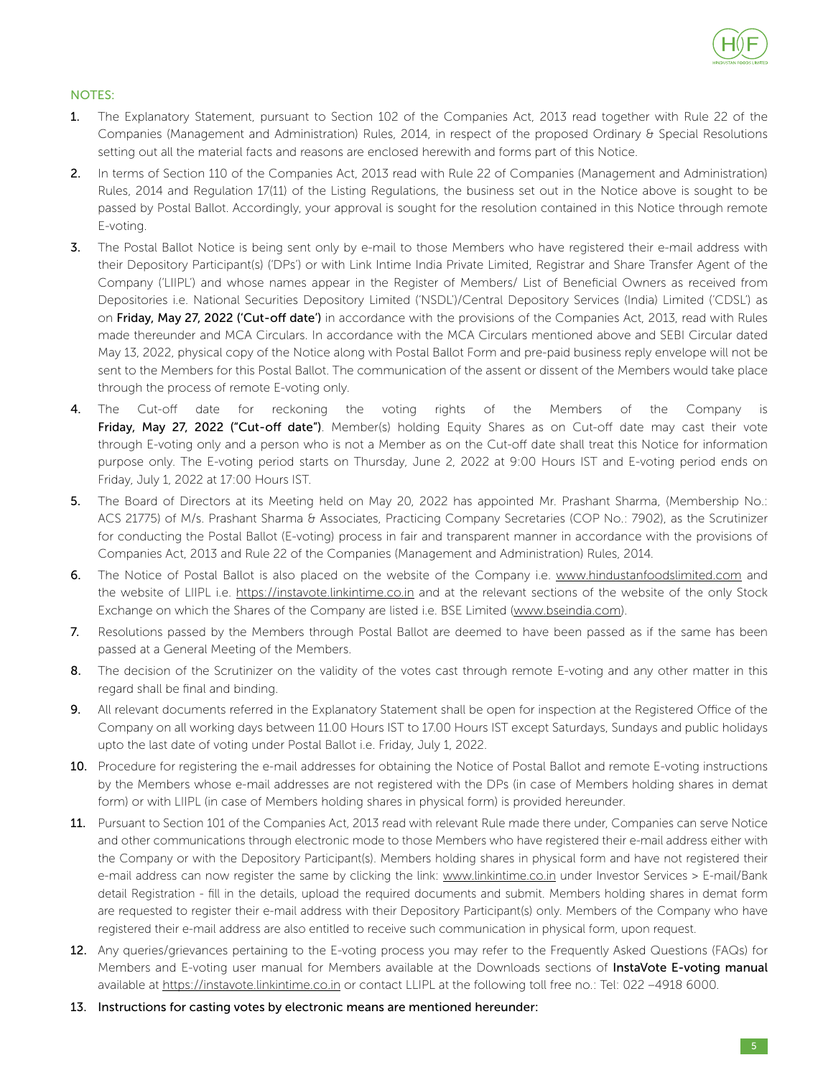

### NOTES:

- 1. The Explanatory Statement, pursuant to Section 102 of the Companies Act, 2013 read together with Rule 22 of the Companies (Management and Administration) Rules, 2014, in respect of the proposed Ordinary & Special Resolutions setting out all the material facts and reasons are enclosed herewith and forms part of this Notice.
- 2. In terms of Section 110 of the Companies Act, 2013 read with Rule 22 of Companies (Management and Administration) Rules, 2014 and Regulation 17(11) of the Listing Regulations, the business set out in the Notice above is sought to be passed by Postal Ballot. Accordingly, your approval is sought for the resolution contained in this Notice through remote E-voting.
- 3. The Postal Ballot Notice is being sent only by e-mail to those Members who have registered their e-mail address with their Depository Participant(s) ('DPs') or with Link Intime India Private Limited, Registrar and Share Transfer Agent of the Company ('LIIPL') and whose names appear in the Register of Members/ List of Beneficial Owners as received from Depositories i.e. National Securities Depository Limited ('NSDL')/Central Depository Services (India) Limited ('CDSL') as on Friday, May 27, 2022 ('Cut-off date') in accordance with the provisions of the Companies Act, 2013, read with Rules made thereunder and MCA Circulars. In accordance with the MCA Circulars mentioned above and SEBI Circular dated May 13, 2022, physical copy of the Notice along with Postal Ballot Form and pre-paid business reply envelope will not be sent to the Members for this Postal Ballot. The communication of the assent or dissent of the Members would take place through the process of remote E-voting only.
- 4. The Cut-off date for reckoning the voting rights of the Members of the Company is Friday, May 27, 2022 ("Cut-off date"). Member(s) holding Equity Shares as on Cut-off date may cast their vote through E-voting only and a person who is not a Member as on the Cut-off date shall treat this Notice for information purpose only. The E-voting period starts on Thursday, June 2, 2022 at 9:00 Hours IST and E-voting period ends on Friday, July 1, 2022 at 17:00 Hours IST.
- 5. The Board of Directors at its Meeting held on May 20, 2022 has appointed Mr. Prashant Sharma, (Membership No.: ACS 21775) of M/s. Prashant Sharma & Associates, Practicing Company Secretaries (COP No.: 7902), as the Scrutinizer for conducting the Postal Ballot (E-voting) process in fair and transparent manner in accordance with the provisions of Companies Act, 2013 and Rule 22 of the Companies (Management and Administration) Rules, 2014.
- 6. The Notice of Postal Ballot is also placed on the website of the Company i.e. www.hindustanfoodslimited.com and the website of LIIPL i.e. https://instavote.linkintime.co.in and at the relevant sections of the website of the only Stock Exchange on which the Shares of the Company are listed i.e. BSE Limited (www.bseindia.com).
- 7. Resolutions passed by the Members through Postal Ballot are deemed to have been passed as if the same has been passed at a General Meeting of the Members.
- 8. The decision of the Scrutinizer on the validity of the votes cast through remote E-voting and any other matter in this regard shall be final and binding.
- 9. All relevant documents referred in the Explanatory Statement shall be open for inspection at the Registered Office of the Company on all working days between 11.00 Hours IST to 17.00 Hours IST except Saturdays, Sundays and public holidays upto the last date of voting under Postal Ballot i.e. Friday, July 1, 2022.
- 10. Procedure for registering the e-mail addresses for obtaining the Notice of Postal Ballot and remote E-voting instructions by the Members whose e-mail addresses are not registered with the DPs (in case of Members holding shares in demat form) or with LIIPL (in case of Members holding shares in physical form) is provided hereunder.
- 11. Pursuant to Section 101 of the Companies Act, 2013 read with relevant Rule made there under, Companies can serve Notice and other communications through electronic mode to those Members who have registered their e-mail address either with the Company or with the Depository Participant(s). Members holding shares in physical form and have not registered their e-mail address can now register the same by clicking the link: www.linkintime.co.in under Investor Services > E-mail/Bank detail Registration - fill in the details, upload the required documents and submit. Members holding shares in demat form are requested to register their e-mail address with their Depository Participant(s) only. Members of the Company who have registered their e-mail address are also entitled to receive such communication in physical form, upon request.
- 12. Any queries/grievances pertaining to the E-voting process you may refer to the Frequently Asked Questions (FAQs) for Members and E-voting user manual for Members available at the Downloads sections of InstaVote E-voting manual available at https://instavote.linkintime.co.in or contact LLIPL at the following toll free no.: Tel: 022 -4918 6000.
- 13. Instructions for casting votes by electronic means are mentioned hereunder: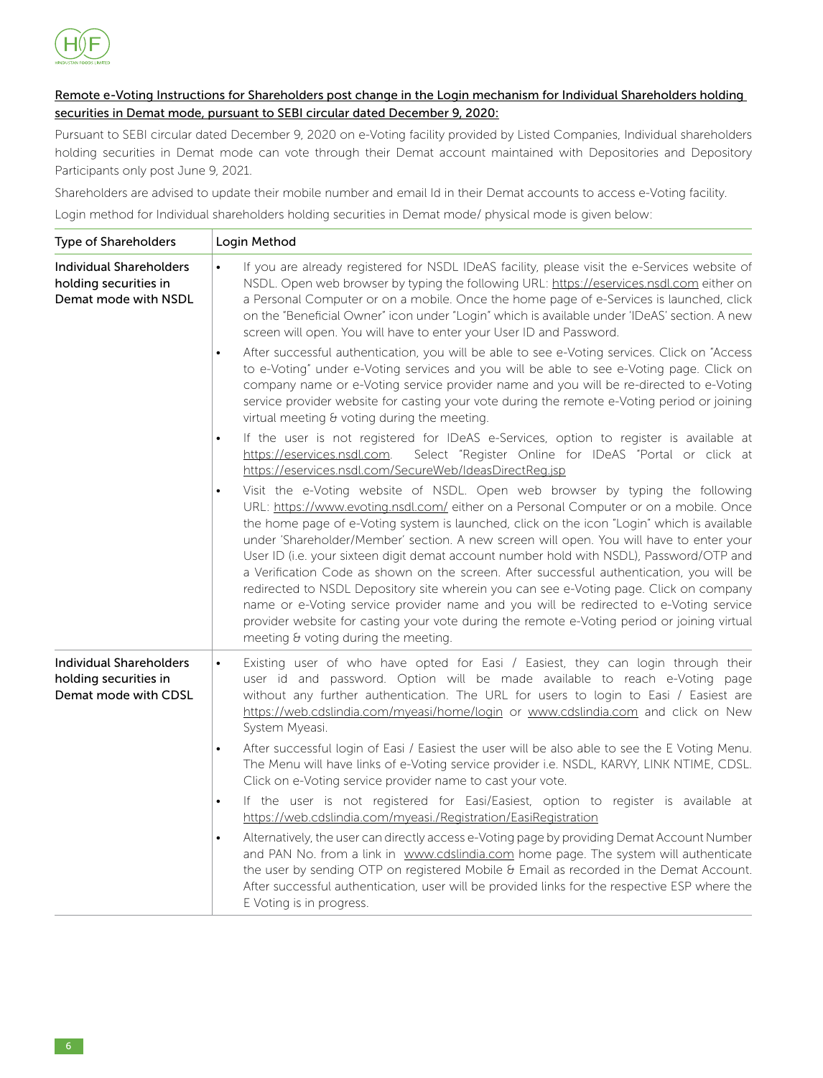

### Remote e-Voting Instructions for Shareholders post change in the Login mechanism for Individual Shareholders holding securities in Demat mode, pursuant to SEBI circular dated December 9, 2020:

Pursuant to SEBI circular dated December 9, 2020 on e-Voting facility provided by Listed Companies, Individual shareholders holding securities in Demat mode can vote through their Demat account maintained with Depositories and Depository Participants only post June 9, 2021.

Shareholders are advised to update their mobile number and email Id in their Demat accounts to access e-Voting facility.

Login method for Individual shareholders holding securities in Demat mode/ physical mode is given below:

| <b>Type of Shareholders</b>                                                     | Login Method                                                                                                                                                                                                                                                                                                                                                                                                                                                                                                                                                                                                                                                                                                                                                                                                                                                                                 |
|---------------------------------------------------------------------------------|----------------------------------------------------------------------------------------------------------------------------------------------------------------------------------------------------------------------------------------------------------------------------------------------------------------------------------------------------------------------------------------------------------------------------------------------------------------------------------------------------------------------------------------------------------------------------------------------------------------------------------------------------------------------------------------------------------------------------------------------------------------------------------------------------------------------------------------------------------------------------------------------|
| <b>Individual Shareholders</b><br>holding securities in<br>Demat mode with NSDL | If you are already registered for NSDL IDeAS facility, please visit the e-Services website of<br>$\bullet$<br>NSDL. Open web browser by typing the following URL: https://eservices.nsdl.com either on<br>a Personal Computer or on a mobile. Once the home page of e-Services is launched, click<br>on the "Beneficial Owner" icon under "Login" which is available under 'IDeAS' section. A new<br>screen will open. You will have to enter your User ID and Password.                                                                                                                                                                                                                                                                                                                                                                                                                     |
|                                                                                 | After successful authentication, you will be able to see e-Voting services. Click on "Access<br>$\bullet$<br>to e-Voting" under e-Voting services and you will be able to see e-Voting page. Click on<br>company name or e-Voting service provider name and you will be re-directed to e-Voting<br>service provider website for casting your vote during the remote e-Voting period or joining<br>virtual meeting & voting during the meeting.                                                                                                                                                                                                                                                                                                                                                                                                                                               |
|                                                                                 | If the user is not registered for IDeAS e-Services, option to register is available at<br>$\bullet$<br>https://eservices.nsdl.com.<br>Select "Register Online for IDeAS "Portal or click at<br>https://eservices.nsdl.com/SecureWeb/IdeasDirectReg.jsp                                                                                                                                                                                                                                                                                                                                                                                                                                                                                                                                                                                                                                       |
|                                                                                 | Visit the e-Voting website of NSDL. Open web browser by typing the following<br>$\bullet$<br>URL: https://www.evoting.nsdl.com/ either on a Personal Computer or on a mobile. Once<br>the home page of e-Voting system is launched, click on the icon "Login" which is available<br>under 'Shareholder/Member' section. A new screen will open. You will have to enter your<br>User ID (i.e. your sixteen digit demat account number hold with NSDL), Password/OTP and<br>a Verification Code as shown on the screen. After successful authentication, you will be<br>redirected to NSDL Depository site wherein you can see e-Voting page. Click on company<br>name or e-Voting service provider name and you will be redirected to e-Voting service<br>provider website for casting your vote during the remote e-Voting period or joining virtual<br>meeting & voting during the meeting. |
| <b>Individual Shareholders</b><br>holding securities in<br>Demat mode with CDSL | Existing user of who have opted for Easi / Easiest, they can login through their<br>$\bullet$<br>user id and password. Option will be made available to reach e-Voting page<br>without any further authentication. The URL for users to login to Easi / Easiest are<br>https://web.cdslindia.com/myeasi/home/login_or_ywww.cdslindia.com_and_click_on_New<br>System Myeasi.                                                                                                                                                                                                                                                                                                                                                                                                                                                                                                                  |
|                                                                                 | After successful login of Easi / Easiest the user will be also able to see the E Voting Menu.<br>$\bullet$<br>The Menu will have links of e-Voting service provider i.e. NSDL, KARVY, LINK NTIME, CDSL.<br>Click on e-Voting service provider name to cast your vote.                                                                                                                                                                                                                                                                                                                                                                                                                                                                                                                                                                                                                        |
|                                                                                 | If the user is not registered for Easi/Easiest, option to register is available at<br>$\bullet$<br>https://web.cdslindia.com/myeasi./Registration/EasiRegistration                                                                                                                                                                                                                                                                                                                                                                                                                                                                                                                                                                                                                                                                                                                           |
|                                                                                 | Alternatively, the user can directly access e-Voting page by providing Demat Account Number<br>$\bullet$<br>and PAN No. from a link in www.cdslindia.com home page. The system will authenticate<br>the user by sending OTP on registered Mobile & Email as recorded in the Demat Account.<br>After successful authentication, user will be provided links for the respective ESP where the<br>E Voting is in progress.                                                                                                                                                                                                                                                                                                                                                                                                                                                                      |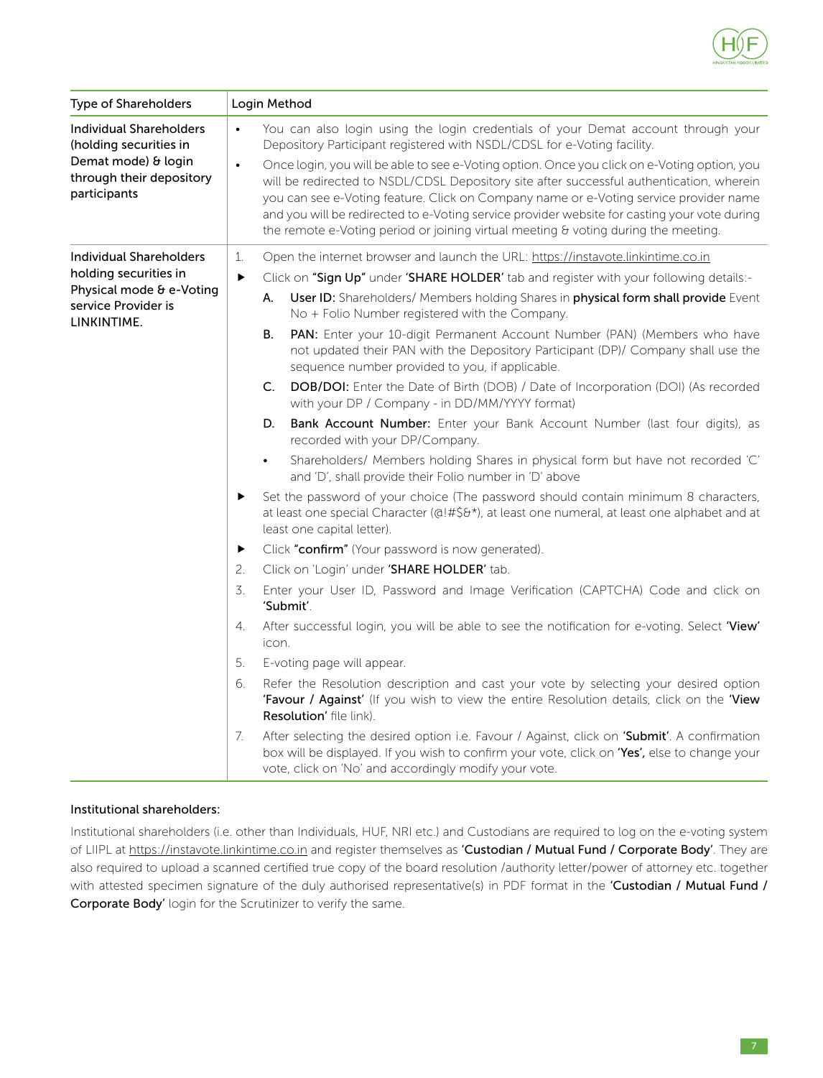

| Type of Shareholders                                                            |                       | Login Method                                                                                                                                                                                                                                                                                                                                                                                                                                                           |
|---------------------------------------------------------------------------------|-----------------------|------------------------------------------------------------------------------------------------------------------------------------------------------------------------------------------------------------------------------------------------------------------------------------------------------------------------------------------------------------------------------------------------------------------------------------------------------------------------|
| <b>Individual Shareholders</b><br>(holding securities in<br>Demat mode) & login | $\bullet$             | You can also login using the login credentials of your Demat account through your<br>Depository Participant registered with NSDL/CDSL for e-Voting facility.                                                                                                                                                                                                                                                                                                           |
| through their depository<br>participants                                        | $\bullet$             | Once login, you will be able to see e-Voting option. Once you click on e-Voting option, you<br>will be redirected to NSDL/CDSL Depository site after successful authentication, wherein<br>you can see e-Voting feature. Click on Company name or e-Voting service provider name<br>and you will be redirected to e-Voting service provider website for casting your vote during<br>the remote e-Voting period or joining virtual meeting & voting during the meeting. |
| <b>Individual Shareholders</b>                                                  | 1.                    | Open the internet browser and launch the URL: https://instavote.linkintime.co.in                                                                                                                                                                                                                                                                                                                                                                                       |
| holding securities in<br>Physical mode & e-Voting                               | $\blacktriangleright$ | Click on "Sign Up" under 'SHARE HOLDER' tab and register with your following details:-                                                                                                                                                                                                                                                                                                                                                                                 |
| service Provider is<br>LINKINTIME.                                              |                       | User ID: Shareholders/ Members holding Shares in physical form shall provide Event<br>А.<br>No + Folio Number registered with the Company.                                                                                                                                                                                                                                                                                                                             |
|                                                                                 |                       | PAN: Enter your 10-digit Permanent Account Number (PAN) (Members who have<br>В.<br>not updated their PAN with the Depository Participant (DP)/ Company shall use the<br>sequence number provided to you, if applicable.                                                                                                                                                                                                                                                |
|                                                                                 |                       | <b>DOB/DOI:</b> Enter the Date of Birth (DOB) / Date of Incorporation (DOI) (As recorded<br>C.<br>with your DP / Company - in DD/MM/YYYY format)                                                                                                                                                                                                                                                                                                                       |
|                                                                                 |                       | Bank Account Number: Enter your Bank Account Number (last four digits), as<br>D.<br>recorded with your DP/Company.                                                                                                                                                                                                                                                                                                                                                     |
|                                                                                 |                       | Shareholders/ Members holding Shares in physical form but have not recorded 'C'<br>$\bullet$<br>and 'D', shall provide their Folio number in 'D' above                                                                                                                                                                                                                                                                                                                 |
|                                                                                 | ▶                     | Set the password of your choice (The password should contain minimum 8 characters,<br>at least one special Character (@!#\$&*), at least one numeral, at least one alphabet and at<br>least one capital letter).                                                                                                                                                                                                                                                       |
|                                                                                 | ▶                     | Click "confirm" (Your password is now generated).                                                                                                                                                                                                                                                                                                                                                                                                                      |
|                                                                                 | 2.                    | Click on 'Login' under 'SHARE HOLDER' tab.                                                                                                                                                                                                                                                                                                                                                                                                                             |
|                                                                                 | 3.                    | Enter your User ID, Password and Image Verification (CAPTCHA) Code and click on<br>'Submit'.                                                                                                                                                                                                                                                                                                                                                                           |
|                                                                                 | 4.                    | After successful login, you will be able to see the notification for e-voting. Select 'View'<br>icon.                                                                                                                                                                                                                                                                                                                                                                  |
|                                                                                 | 5.                    | E-voting page will appear.                                                                                                                                                                                                                                                                                                                                                                                                                                             |
|                                                                                 | 6.                    | Refer the Resolution description and cast your vote by selecting your desired option<br>'Favour / Against' (If you wish to view the entire Resolution details, click on the 'View<br>Resolution' file link).                                                                                                                                                                                                                                                           |
|                                                                                 | 7.                    | After selecting the desired option i.e. Favour / Against, click on 'Submit'. A confirmation<br>box will be displayed. If you wish to confirm your vote, click on 'Yes', else to change your<br>vote, click on 'No' and accordingly modify your vote.                                                                                                                                                                                                                   |

### Institutional shareholders:

Institutional shareholders (i.e. other than Individuals, HUF, NRI etc.) and Custodians are required to log on the e-voting system of LIIPL at https://instavote.linkintime.co.in and register themselves as 'Custodian / Mutual Fund / Corporate Body'. They are also required to upload a scanned certified true copy of the board resolution /authority letter/power of attorney etc. together with attested specimen signature of the duly authorised representative(s) in PDF format in the 'Custodian / Mutual Fund / Corporate Body' login for the Scrutinizer to verify the same.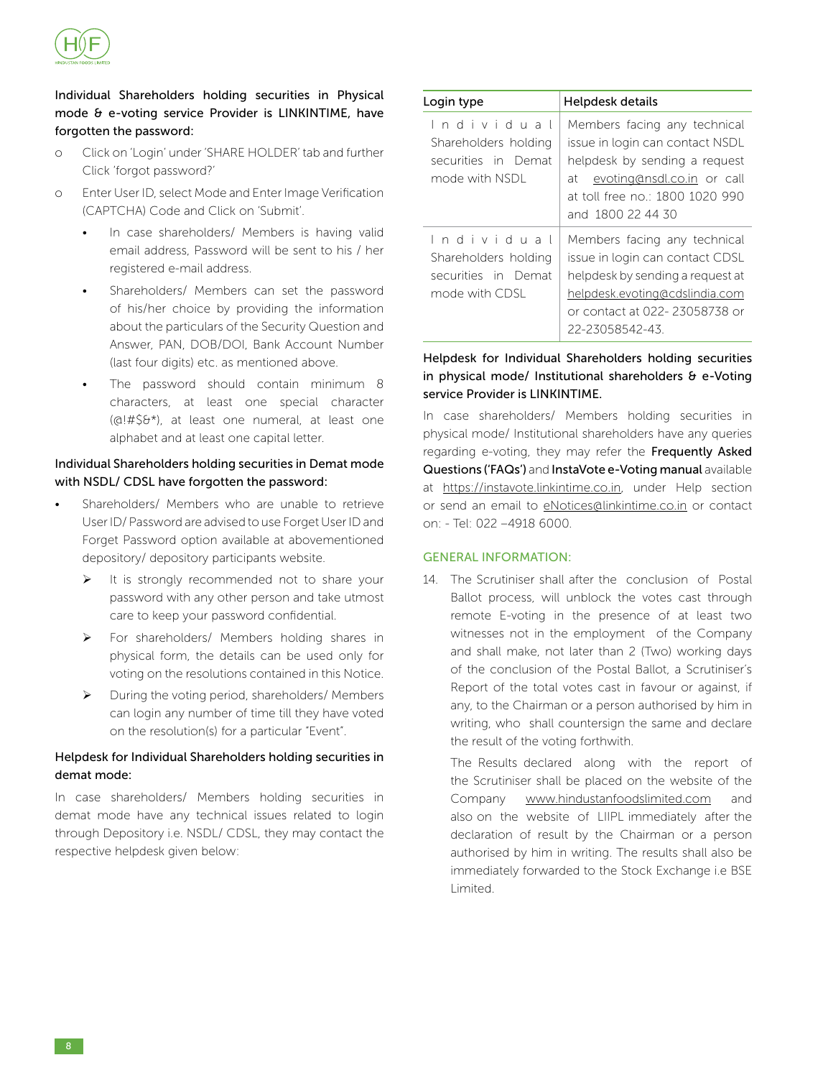

### Individual Shareholders holding securities in Physical mode & e-voting service Provider is LINKINTIME, have forgotten the password:

- o Click on 'Login' under 'SHARE HOLDER' tab and further Click 'forgot password?'
- o Enter User ID, select Mode and Enter Image Verification (CAPTCHA) Code and Click on 'Submit'.
	- In case shareholders/ Members is having valid email address, Password will be sent to his / her registered e-mail address.
	- Shareholders/ Members can set the password of his/her choice by providing the information about the particulars of the Security Question and Answer, PAN, DOB/DOI, Bank Account Number (last four digits) etc. as mentioned above.
	- The password should contain minimum 8 characters, at least one special character (@!#\$&\*), at least one numeral, at least one alphabet and at least one capital letter.

### Individual Shareholders holding securities in Demat mode with NSDL/ CDSL have forgotten the password:

- Shareholders/ Members who are unable to retrieve User ID/ Password are advised to use Forget User ID and Forget Password option available at abovementioned depository/ depository participants website.
	- $\triangleright$  It is strongly recommended not to share your password with any other person and take utmost care to keep your password confidential.
	- For shareholders/ Members holding shares in physical form, the details can be used only for voting on the resolutions contained in this Notice.
	- $\triangleright$  During the voting period, shareholders/ Members can login any number of time till they have voted on the resolution(s) for a particular "Event".

### Helpdesk for Individual Shareholders holding securities in demat mode:

In case shareholders/ Members holding securities in demat mode have any technical issues related to login through Depository i.e. NSDL/ CDSL, they may contact the respective helpdesk given below:

| Login type                                                                  | Helpdesk details                                                                                                                                                                          |
|-----------------------------------------------------------------------------|-------------------------------------------------------------------------------------------------------------------------------------------------------------------------------------------|
| Individual<br>Shareholders holding<br>securities in Demat<br>mode with NSDI | Members facing any technical<br>issue in login can contact NSDL<br>helpdesk by sending a request<br>at evoting@nsdl.co.in or call<br>at toll free no.: 1800 1020 990<br>and 1800 22 44 30 |
| Individual<br>Shareholders holding<br>securities in Demat<br>mode with CDSL | Members facing any technical<br>issue in login can contact CDSL<br>helpdesk by sending a request at<br>helpdesk.evoting@cdslindia.com<br>or contact at 022-23058738 or<br>22-23058542-43  |

### Helpdesk for Individual Shareholders holding securities in physical mode/ Institutional shareholders  $\theta$  e-Voting service Provider is LINKINTIME.

In case shareholders/ Members holding securities in physical mode/ Institutional shareholders have any queries regarding e-voting, they may refer the Frequently Asked Questions ('FAQs') and InstaVote e-Voting manual available at https://instavote.linkintime.co.in, under Help section or send an email to eNotices@linkintime.co.in or contact on: - Tel: 022 –4918 6000.

### GENERAL INFORMATION:

14. The Scrutiniser shall after the conclusion of Postal Ballot process, will unblock the votes cast through remote E-voting in the presence of at least two witnesses not in the employment of the Company and shall make, not later than 2 (Two) working days of the conclusion of the Postal Ballot, a Scrutiniser's Report of the total votes cast in favour or against, if any, to the Chairman or a person authorised by him in writing, who shall countersign the same and declare the result of the voting forthwith.

The Results declared along with the report of the Scrutiniser shall be placed on the website of the Company www.hindustanfoodslimited.com and also on the website of LIIPL immediately after the declaration of result by the Chairman or a person authorised by him in writing. The results shall also be immediately forwarded to the Stock Exchange i.e BSE Limited.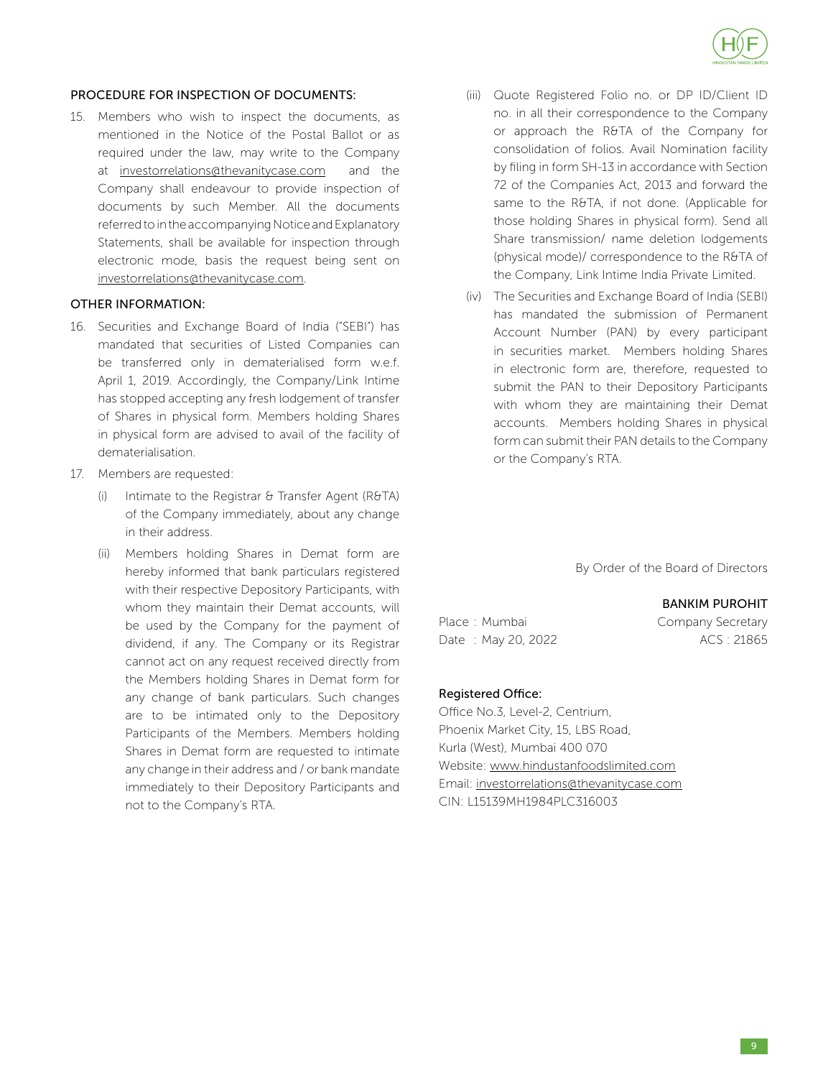

### PROCEDURE FOR INSPECTION OF DOCUMENTS:

15. Members who wish to inspect the documents, as mentioned in the Notice of the Postal Ballot or as required under the law, may write to the Company at investorrelations@thevanitycase.com and the Company shall endeavour to provide inspection of documents by such Member. All the documents referred to in the accompanying Notice and Explanatory Statements, shall be available for inspection through electronic mode, basis the request being sent on investorrelations@thevanitycase.com.

### OTHER INFORMATION:

- 16. Securities and Exchange Board of India ("SEBI") has mandated that securities of Listed Companies can be transferred only in dematerialised form w.e.f. April 1, 2019. Accordingly, the Company/Link Intime has stopped accepting any fresh lodgement of transfer of Shares in physical form. Members holding Shares in physical form are advised to avail of the facility of dematerialisation.
- 17. Members are requested:
	- (i) Intimate to the Registrar  $\theta$  Transfer Agent (R&TA) of the Company immediately, about any change in their address.
	- (ii) Members holding Shares in Demat form are hereby informed that bank particulars registered with their respective Depository Participants, with whom they maintain their Demat accounts, will be used by the Company for the payment of dividend, if any. The Company or its Registrar cannot act on any request received directly from the Members holding Shares in Demat form for any change of bank particulars. Such changes are to be intimated only to the Depository Participants of the Members. Members holding Shares in Demat form are requested to intimate any change in their address and / or bank mandate immediately to their Depository Participants and not to the Company's RTA.
- (iii) Quote Registered Folio no. or DP ID/Client ID no. in all their correspondence to the Company or approach the R&TA of the Company for consolidation of folios. Avail Nomination facility by filing in form SH-13 in accordance with Section 72 of the Companies Act, 2013 and forward the same to the R&TA, if not done. (Applicable for those holding Shares in physical form). Send all Share transmission/ name deletion lodgements (physical mode)/ correspondence to the R&TA of the Company, Link Intime India Private Limited.
- (iv) The Securities and Exchange Board of India (SEBI) has mandated the submission of Permanent Account Number (PAN) by every participant in securities market. Members holding Shares in electronic form are, therefore, requested to submit the PAN to their Depository Participants with whom they are maintaining their Demat accounts. Members holding Shares in physical form can submit their PAN details to the Company or the Company's RTA.

By Order of the Board of Directors

### BANKIM PUROHIT

Place : Mumbai Company Secretary Date : May 20, 2022 ACS : 21865

### Registered Office:

Office No.3, Level-2, Centrium, Phoenix Market City, 15, LBS Road, Kurla (West), Mumbai 400 070 Website: www.hindustanfoodslimited.com Email: investorrelations@thevanitycase.com CIN: L15139MH1984PLC316003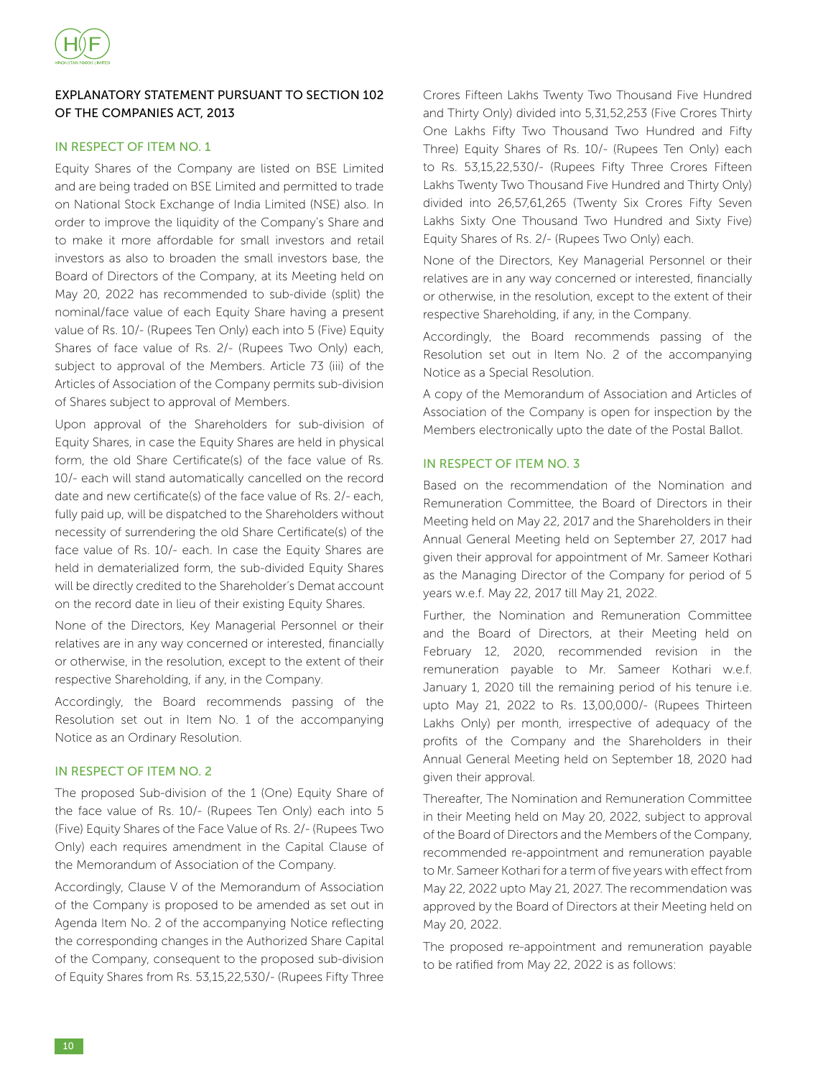

### EXPLANATORY STATEMENT PURSUANT TO SECTION 102 OF THE COMPANIES ACT, 2013

### IN RESPECT OF ITEM NO. 1

Equity Shares of the Company are listed on BSE Limited and are being traded on BSE Limited and permitted to trade on National Stock Exchange of India Limited (NSE) also. In order to improve the liquidity of the Company's Share and to make it more affordable for small investors and retail investors as also to broaden the small investors base, the Board of Directors of the Company, at its Meeting held on May 20, 2022 has recommended to sub-divide (split) the nominal/face value of each Equity Share having a present value of Rs. 10/- (Rupees Ten Only) each into 5 (Five) Equity Shares of face value of Rs. 2/- (Rupees Two Only) each, subject to approval of the Members. Article 73 (iii) of the Articles of Association of the Company permits sub-division of Shares subject to approval of Members.

Upon approval of the Shareholders for sub-division of Equity Shares, in case the Equity Shares are held in physical form, the old Share Certificate(s) of the face value of Rs. 10/- each will stand automatically cancelled on the record date and new certificate(s) of the face value of Rs. 2/- each, fully paid up, will be dispatched to the Shareholders without necessity of surrendering the old Share Certificate(s) of the face value of Rs. 10/- each. In case the Equity Shares are held in dematerialized form, the sub-divided Equity Shares will be directly credited to the Shareholder's Demat account on the record date in lieu of their existing Equity Shares.

None of the Directors, Key Managerial Personnel or their relatives are in any way concerned or interested, financially or otherwise, in the resolution, except to the extent of their respective Shareholding, if any, in the Company.

Accordingly, the Board recommends passing of the Resolution set out in Item No. 1 of the accompanying Notice as an Ordinary Resolution.

### IN RESPECT OF ITEM NO. 2

The proposed Sub-division of the 1 (One) Equity Share of the face value of Rs. 10/- (Rupees Ten Only) each into 5 (Five) Equity Shares of the Face Value of Rs. 2/- (Rupees Two Only) each requires amendment in the Capital Clause of the Memorandum of Association of the Company.

Accordingly, Clause V of the Memorandum of Association of the Company is proposed to be amended as set out in Agenda Item No. 2 of the accompanying Notice reflecting the corresponding changes in the Authorized Share Capital of the Company, consequent to the proposed sub-division of Equity Shares from Rs. 53,15,22,530/- (Rupees Fifty Three

Crores Fifteen Lakhs Twenty Two Thousand Five Hundred and Thirty Only) divided into 5,31,52,253 (Five Crores Thirty One Lakhs Fifty Two Thousand Two Hundred and Fifty Three) Equity Shares of Rs. 10/- (Rupees Ten Only) each to Rs. 53,15,22,530/- (Rupees Fifty Three Crores Fifteen Lakhs Twenty Two Thousand Five Hundred and Thirty Only) divided into 26,57,61,265 (Twenty Six Crores Fifty Seven Lakhs Sixty One Thousand Two Hundred and Sixty Five) Equity Shares of Rs. 2/- (Rupees Two Only) each.

None of the Directors, Key Managerial Personnel or their relatives are in any way concerned or interested, financially or otherwise, in the resolution, except to the extent of their respective Shareholding, if any, in the Company.

Accordingly, the Board recommends passing of the Resolution set out in Item No. 2 of the accompanying Notice as a Special Resolution.

A copy of the Memorandum of Association and Articles of Association of the Company is open for inspection by the Members electronically upto the date of the Postal Ballot.

### IN RESPECT OF ITEM NO. 3

Based on the recommendation of the Nomination and Remuneration Committee, the Board of Directors in their Meeting held on May 22, 2017 and the Shareholders in their Annual General Meeting held on September 27, 2017 had given their approval for appointment of Mr. Sameer Kothari as the Managing Director of the Company for period of 5 years w.e.f. May 22, 2017 till May 21, 2022.

Further, the Nomination and Remuneration Committee and the Board of Directors, at their Meeting held on February 12, 2020, recommended revision in the remuneration payable to Mr. Sameer Kothari w.e.f. January 1, 2020 till the remaining period of his tenure i.e. upto May 21, 2022 to Rs. 13,00,000/- (Rupees Thirteen Lakhs Only) per month, irrespective of adequacy of the profits of the Company and the Shareholders in their Annual General Meeting held on September 18, 2020 had given their approval.

Thereafter, The Nomination and Remuneration Committee in their Meeting held on May 20, 2022, subject to approval of the Board of Directors and the Members of the Company, recommended re-appointment and remuneration payable to Mr. Sameer Kothari for a term of five years with effect from May 22, 2022 upto May 21, 2027. The recommendation was approved by the Board of Directors at their Meeting held on May 20, 2022.

The proposed re-appointment and remuneration payable to be ratified from May 22, 2022 is as follows: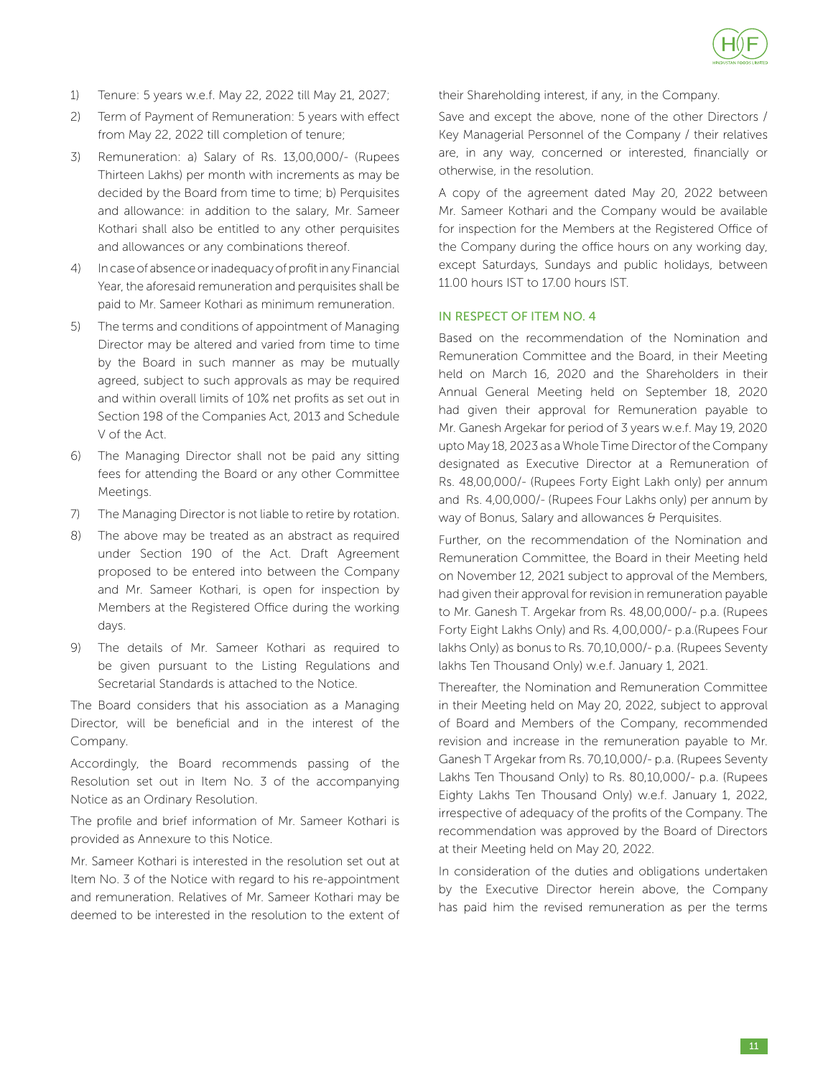

- 1) Tenure: 5 years w.e.f. May 22, 2022 till May 21, 2027;
- 2) Term of Payment of Remuneration: 5 years with effect from May 22, 2022 till completion of tenure;
- 3) Remuneration: a) Salary of Rs. 13,00,000/- (Rupees Thirteen Lakhs) per month with increments as may be decided by the Board from time to time; b) Perquisites and allowance: in addition to the salary, Mr. Sameer Kothari shall also be entitled to any other perquisites and allowances or any combinations thereof.
- 4) In case of absence or inadequacy of profit in any Financial Year, the aforesaid remuneration and perquisites shall be paid to Mr. Sameer Kothari as minimum remuneration.
- 5) The terms and conditions of appointment of Managing Director may be altered and varied from time to time by the Board in such manner as may be mutually agreed, subject to such approvals as may be required and within overall limits of 10% net profits as set out in Section 198 of the Companies Act, 2013 and Schedule V of the Act.
- 6) The Managing Director shall not be paid any sitting fees for attending the Board or any other Committee Meetings.
- 7) The Managing Director is not liable to retire by rotation.
- 8) The above may be treated as an abstract as required under Section 190 of the Act. Draft Agreement proposed to be entered into between the Company and Mr. Sameer Kothari, is open for inspection by Members at the Registered Office during the working days.
- 9) The details of Mr. Sameer Kothari as required to be given pursuant to the Listing Regulations and Secretarial Standards is attached to the Notice.

The Board considers that his association as a Managing Director, will be beneficial and in the interest of the Company.

Accordingly, the Board recommends passing of the Resolution set out in Item No. 3 of the accompanying Notice as an Ordinary Resolution.

The profile and brief information of Mr. Sameer Kothari is provided as Annexure to this Notice.

Mr. Sameer Kothari is interested in the resolution set out at Item No. 3 of the Notice with regard to his re-appointment and remuneration. Relatives of Mr. Sameer Kothari may be deemed to be interested in the resolution to the extent of their Shareholding interest, if any, in the Company.

Save and except the above, none of the other Directors / Key Managerial Personnel of the Company / their relatives are, in any way, concerned or interested, financially or otherwise, in the resolution.

A copy of the agreement dated May 20, 2022 between Mr. Sameer Kothari and the Company would be available for inspection for the Members at the Registered Office of the Company during the office hours on any working day, except Saturdays, Sundays and public holidays, between 11.00 hours IST to 17.00 hours IST.

### IN RESPECT OF ITEM NO. 4

Based on the recommendation of the Nomination and Remuneration Committee and the Board, in their Meeting held on March 16, 2020 and the Shareholders in their Annual General Meeting held on September 18, 2020 had given their approval for Remuneration payable to Mr. Ganesh Argekar for period of 3 years w.e.f. May 19, 2020 upto May 18, 2023 as a Whole Time Director of the Company designated as Executive Director at a Remuneration of Rs. 48,00,000/- (Rupees Forty Eight Lakh only) per annum and Rs. 4,00,000/- (Rupees Four Lakhs only) per annum by way of Bonus, Salary and allowances & Perquisites.

Further, on the recommendation of the Nomination and Remuneration Committee, the Board in their Meeting held on November 12, 2021 subject to approval of the Members, had given their approval for revision in remuneration payable to Mr. Ganesh T. Argekar from Rs. 48,00,000/- p.a. (Rupees Forty Eight Lakhs Only) and Rs. 4,00,000/- p.a.(Rupees Four lakhs Only) as bonus to Rs. 70,10,000/- p.a. (Rupees Seventy lakhs Ten Thousand Only) w.e.f. January 1, 2021.

Thereafter, the Nomination and Remuneration Committee in their Meeting held on May 20, 2022, subject to approval of Board and Members of the Company, recommended revision and increase in the remuneration payable to Mr. Ganesh T Argekar from Rs. 70,10,000/- p.a. (Rupees Seventy Lakhs Ten Thousand Only) to Rs. 80,10,000/- p.a. (Rupees Eighty Lakhs Ten Thousand Only) w.e.f. January 1, 2022, irrespective of adequacy of the profits of the Company. The recommendation was approved by the Board of Directors at their Meeting held on May 20, 2022.

In consideration of the duties and obligations undertaken by the Executive Director herein above, the Company has paid him the revised remuneration as per the terms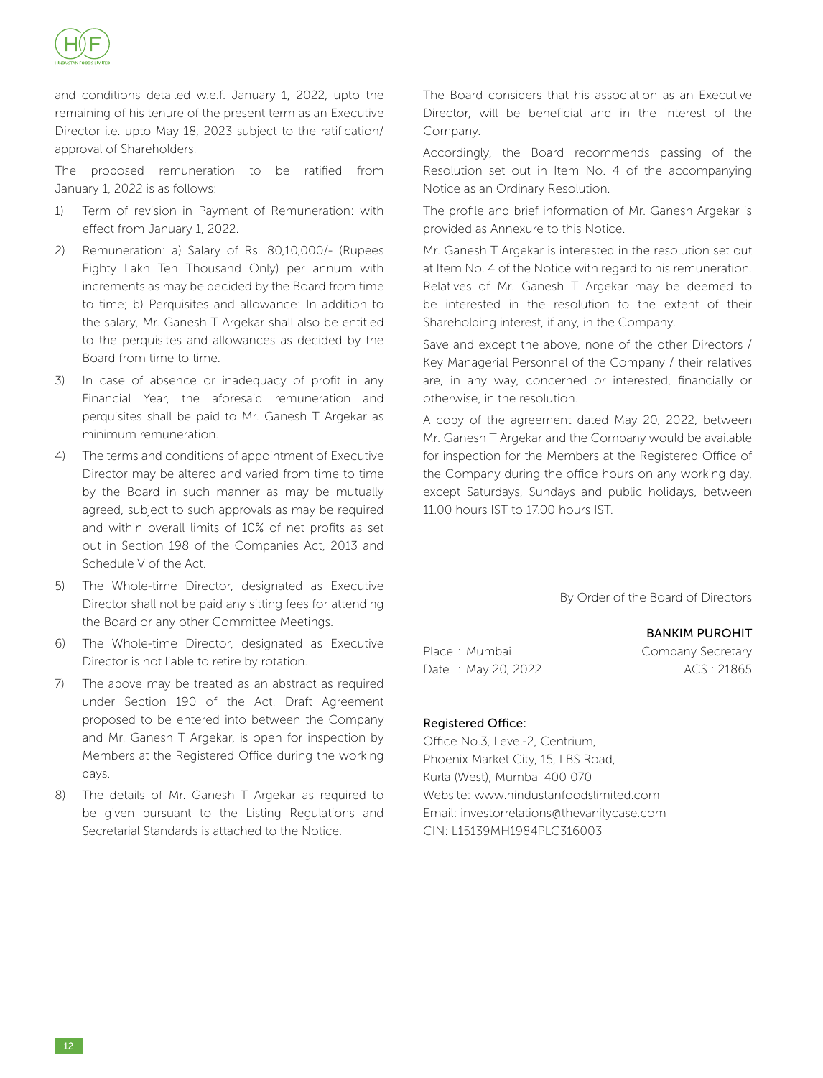

and conditions detailed w.e.f. January 1, 2022, upto the remaining of his tenure of the present term as an Executive Director i.e. upto May 18, 2023 subject to the ratification/ approval of Shareholders.

The proposed remuneration to be ratified from January 1, 2022 is as follows:

- 1) Term of revision in Payment of Remuneration: with effect from January 1, 2022.
- 2) Remuneration: a) Salary of Rs. 80,10,000/- (Rupees Eighty Lakh Ten Thousand Only) per annum with increments as may be decided by the Board from time to time; b) Perquisites and allowance: In addition to the salary, Mr. Ganesh T Argekar shall also be entitled to the perquisites and allowances as decided by the Board from time to time.
- 3) In case of absence or inadequacy of profit in any Financial Year, the aforesaid remuneration and perquisites shall be paid to Mr. Ganesh T Argekar as minimum remuneration.
- 4) The terms and conditions of appointment of Executive Director may be altered and varied from time to time by the Board in such manner as may be mutually agreed, subject to such approvals as may be required and within overall limits of 10% of net profits as set out in Section 198 of the Companies Act, 2013 and Schedule V of the Act.
- 5) The Whole-time Director, designated as Executive Director shall not be paid any sitting fees for attending the Board or any other Committee Meetings.
- 6) The Whole-time Director, designated as Executive Director is not liable to retire by rotation.
- 7) The above may be treated as an abstract as required under Section 190 of the Act. Draft Agreement proposed to be entered into between the Company and Mr. Ganesh T Argekar, is open for inspection by Members at the Registered Office during the working days.
- 8) The details of Mr. Ganesh T Argekar as required to be given pursuant to the Listing Regulations and Secretarial Standards is attached to the Notice.

The Board considers that his association as an Executive Director, will be beneficial and in the interest of the Company.

Accordingly, the Board recommends passing of the Resolution set out in Item No. 4 of the accompanying Notice as an Ordinary Resolution.

The profile and brief information of Mr. Ganesh Argekar is provided as Annexure to this Notice.

Mr. Ganesh T Argekar is interested in the resolution set out at Item No. 4 of the Notice with regard to his remuneration. Relatives of Mr. Ganesh T Argekar may be deemed to be interested in the resolution to the extent of their Shareholding interest, if any, in the Company.

Save and except the above, none of the other Directors / Key Managerial Personnel of the Company / their relatives are, in any way, concerned or interested, financially or otherwise, in the resolution.

A copy of the agreement dated May 20, 2022, between Mr. Ganesh T Argekar and the Company would be available for inspection for the Members at the Registered Office of the Company during the office hours on any working day, except Saturdays, Sundays and public holidays, between 11.00 hours IST to 17.00 hours IST.

By Order of the Board of Directors

### BANKIM PUROHIT

Place : Mumbai Company Secretary Date : May 20, 2022 <br>
ACS : 21865

### Registered Office:

Office No.3, Level-2, Centrium, Phoenix Market City, 15, LBS Road, Kurla (West), Mumbai 400 070 Website: www.hindustanfoodslimited.com Email: investorrelations@thevanitycase.com CIN: L15139MH1984PLC316003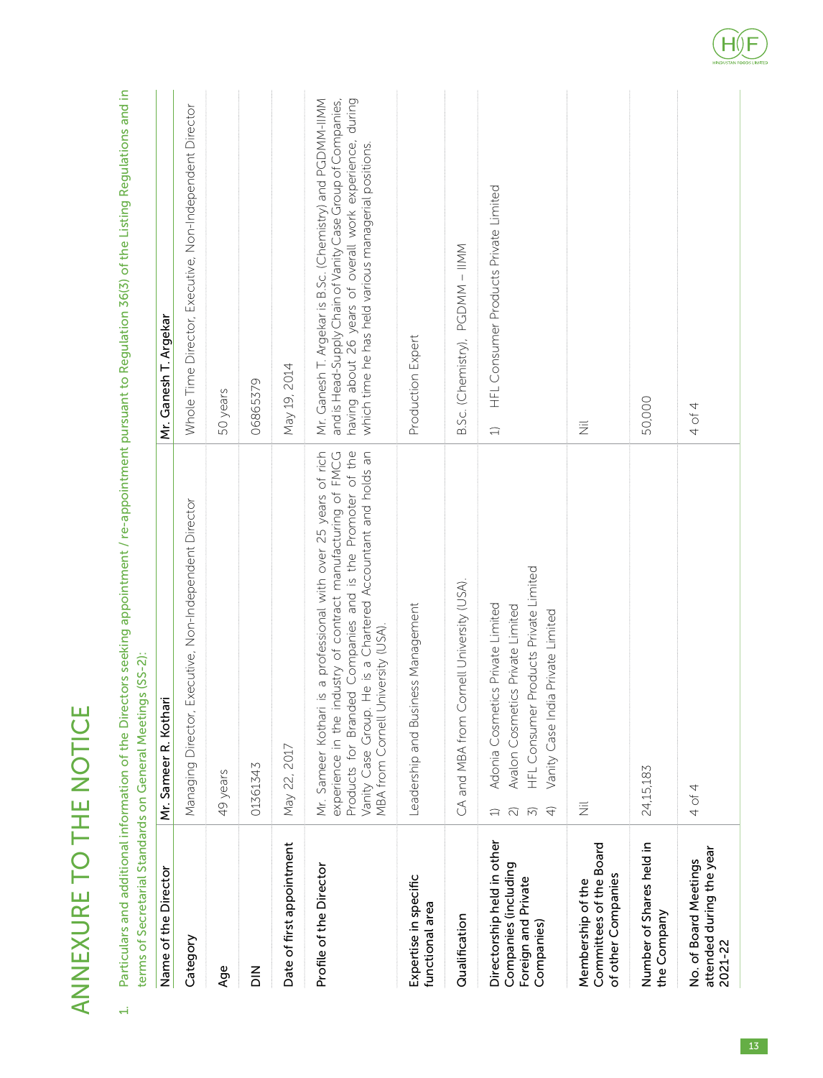|        | i      |
|--------|--------|
| I      | I<br>ì |
|        |        |
| I<br>G |        |

Particulars and additional information of the Directors seeking appointment / re-appointment pursuant to Regulation 36(3) of the Listing Regulations and in 1. Particulars and additional information of the Directors seeking appointment / re-appointment pursuant to Regulation 36(3) of the Listing Regulations and in terms of Secretarial Standards on General Meetings (SS-2): terms of Secretarial Standards on General Meetings (SS-2):  $\overrightarrow{H}$ 

| Name of the Director                                                                    | Mr. Sameer R. Kothari                                                                                                                                                                                                                                                                                        | Mr. Ganesh T. Argekar                                                                                                                                                                                                                        |
|-----------------------------------------------------------------------------------------|--------------------------------------------------------------------------------------------------------------------------------------------------------------------------------------------------------------------------------------------------------------------------------------------------------------|----------------------------------------------------------------------------------------------------------------------------------------------------------------------------------------------------------------------------------------------|
| Category                                                                                | Executive, Non-Independent Director<br>Managing Director,                                                                                                                                                                                                                                                    | Whole Time Director, Executive, Non-Independent Director                                                                                                                                                                                     |
| Age                                                                                     | 49 years                                                                                                                                                                                                                                                                                                     | 50 years                                                                                                                                                                                                                                     |
| $\frac{z}{\Omega}$                                                                      | 01361343                                                                                                                                                                                                                                                                                                     | 06865379                                                                                                                                                                                                                                     |
| Date of first appointment                                                               | May 22, 2017                                                                                                                                                                                                                                                                                                 | May 19, 2014                                                                                                                                                                                                                                 |
| Profile of the Director                                                                 | Products for Branded Companies and is the Promoter of the<br>He is a Chartered Accountant and holds an<br>experience in the industry of contract manufacturing of FMCG<br>is a professional with over 25 years of rich<br>niversity (USA).<br>MBA from Cornell U<br>Mr. Sameer Kothari<br>Vanity Case Group. | Mr. Ganesh T. Argekar is B.Sc. (Chemistry) and PGDMM-IIMM<br>and is Head-Supply Chain of Vanity Case Group of Companies,<br>having about 26 years of overall work experience, during<br>which time he has held various managerial positions. |
| Expertise in specific<br>functional area                                                | Leadership and Business Management                                                                                                                                                                                                                                                                           | Production Expert                                                                                                                                                                                                                            |
| Qualification                                                                           | ornell University (USA).<br>CA and MBA from C                                                                                                                                                                                                                                                                | B.Sc. (Chemistry), PGDMM - IIMM                                                                                                                                                                                                              |
| Directorship held in other<br>Companies (including<br>Foreign and Private<br>Companies) | Products Private Limited<br>Adonia Cosmetics Private Limited<br>Avalon Cosmetics Private Limited<br>Vanity Case India Private Limited<br>HFL Consumer<br>$\widehat{+}$<br>$\widehat{\sim}$<br>$\widehat{5}$<br>ุี่⊐                                                                                          | HFL Consumer Products Private Limited<br>$\widehat{\hskip2in}$                                                                                                                                                                               |
| Committees of the Board<br>of other Companies<br>Membership of the                      | $\overline{\overline{z}}$                                                                                                                                                                                                                                                                                    | <b>III</b>                                                                                                                                                                                                                                   |
| Number of Shares held in<br>the Company                                                 | 24,15,183                                                                                                                                                                                                                                                                                                    | 50,000                                                                                                                                                                                                                                       |
| attended during the year<br>No. of Board Meetings<br>2021-22                            | 4 of 4                                                                                                                                                                                                                                                                                                       | 4 of 4                                                                                                                                                                                                                                       |

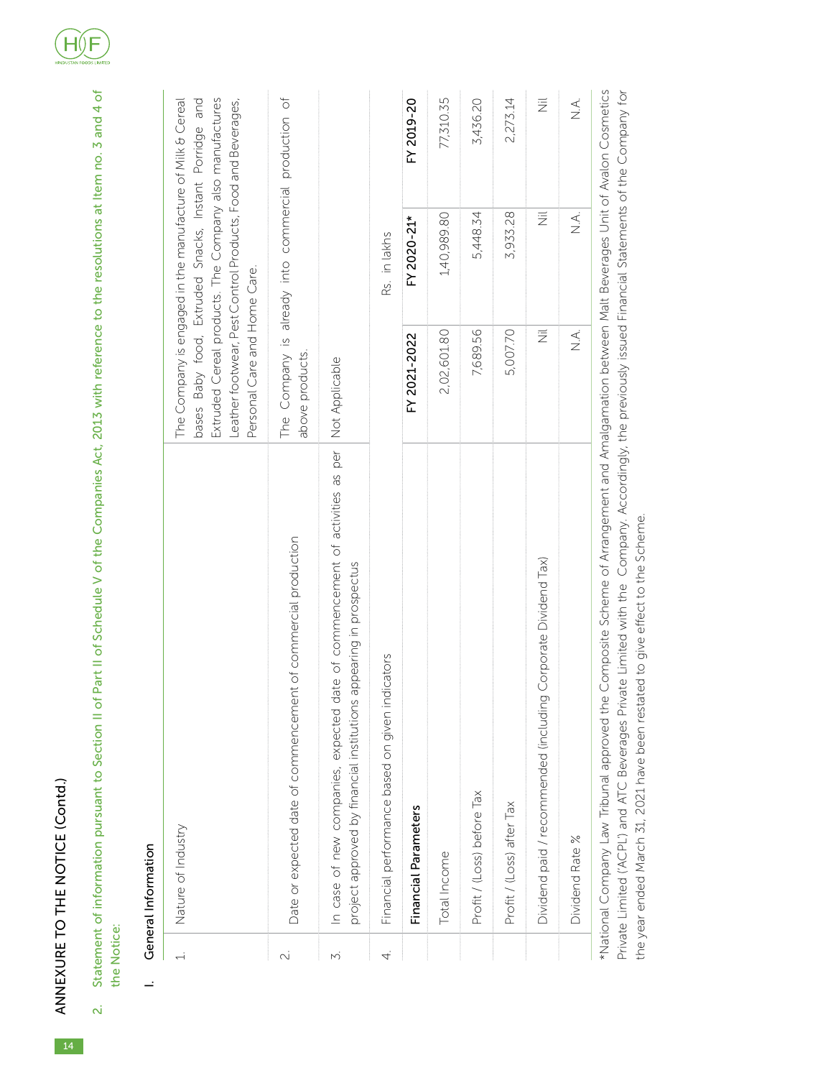|           | General Information                                                                                                                                        |                                                                                                                                                                                                                       |                                                        |                           |
|-----------|------------------------------------------------------------------------------------------------------------------------------------------------------------|-----------------------------------------------------------------------------------------------------------------------------------------------------------------------------------------------------------------------|--------------------------------------------------------|---------------------------|
|           | Nature of Industry                                                                                                                                         | Extruded Cereal products. The Company also manufactures<br>The Company is engaged in the manufacture of Milk & Cereal<br>Leather footwear, Pest Control Products, Food and Beverages,<br>Personal Care and Home Care. | bases Baby food, Extruded Snacks, Instant Porridge and |                           |
| $\sim$    | Date or expected date of commencement of commercial production                                                                                             | The Company is already into commercial production of<br>above products.                                                                                                                                               |                                                        |                           |
| $\vec{v}$ | date of commencement of activities as per<br>is appearing in prospectus<br>In case of new companies, expected<br>project approved by financial institution | Not Applicable                                                                                                                                                                                                        |                                                        |                           |
| 4.        | indicators<br>Financial performance based on given                                                                                                         |                                                                                                                                                                                                                       | Rs. in lakhs                                           |                           |
|           | Financial Parameters                                                                                                                                       | FY 2021-2022                                                                                                                                                                                                          | FY 2020-21*                                            | FY 2019-20                |
|           | Total Income                                                                                                                                               | 2,02,601.80                                                                                                                                                                                                           | 1,40,989.80                                            | 77,310.35                 |
|           | Profit / (Loss) before Tax                                                                                                                                 | 7,689.56                                                                                                                                                                                                              | 5,448.34                                               | 3,436.20                  |
|           | Profit / (Loss) after Tax                                                                                                                                  | 5,007.70                                                                                                                                                                                                              | 3,933.28                                               | 2,273.14                  |
|           | Dividend paid / recommended (including Corporate Dividend Tax)                                                                                             | $\overline{\overline{z}}$                                                                                                                                                                                             | $\overline{\overline{z}}$                              | $\overline{\overline{z}}$ |
|           | Dividend Rate %                                                                                                                                            | $\leq$                                                                                                                                                                                                                | $\leq$ $\geq$                                          | $\sum_{i=1}^{n}$          |
|           | *National Company Law Tribunal approved the Composite Scheme of Arrangement and Amalgamation between Malt Beverages Unit of Avalon Cosmetics               |                                                                                                                                                                                                                       |                                                        |                           |

Private Limited ('ACPL') and ATC Beverages Private Limited with the Company. Accordingly, the previously issued Financial Statements of the Company for Private Limited ('ACPL') and ATC Beverages Private Limited with the Company. Accordingly, the previously issued Financial Statements of the Company for the year ended March 31, 2021 have been restated to give effect to the Scheme. the year ended March 31, 2021 have been restated to give effect to the Scheme.

### F  $H()$

2. Statement of information pursuant to Section II of Part II of Schedule V of the Companies Act, 2013 with reference to the resolutions at Item no. 3 and 4 of

Statement of information pursuant to Section II of Part II of Schedule V of the Companies Act, 2013 with reference to the resolutions at Item no. 3 and 4 of

 $\sim$ 

ANNEXURE TO THE NOTICE (Contd.)

ANNEXURE TO THE NOTICE (Contd.)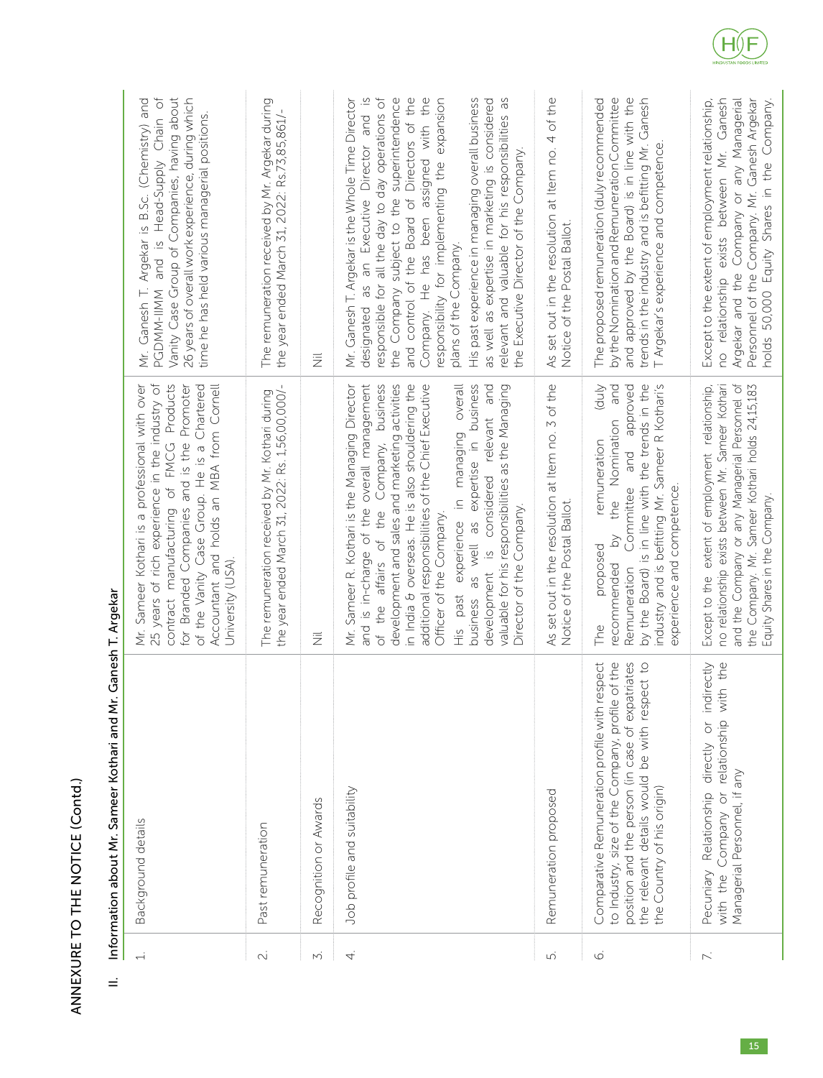| i               |
|-----------------|
| ٳ<br>ļ          |
| I               |
| <br> <br>j<br>ļ |
|                 |

| $\overline{\phantom{0}}$ | Background details                                                                                                                                                                                                                          | 25 years of rich experience in the industry of<br>contract manufacturing of FMCG Products<br>Mr. Sameer Kothari is a professional with over<br>for Branded Companies and is the Promoter<br>Accountant and holds an MBA from Cornell<br>of the Vanity Case Group. He is a Chartered<br>University (USA).                                                                                                                                                                                                                                                           | PGDMM-IIMM and is Head-Supply Chain of<br>Vanity Case Group of Companies, having about<br>26 years of overall work experience, during which<br>Mr. Ganesh T. Argekar is B.Sc. (Chemistry) and<br>time he has held various managerial positions.                                                                                                                                                                                                                                                                                                                            |
|--------------------------|---------------------------------------------------------------------------------------------------------------------------------------------------------------------------------------------------------------------------------------------|--------------------------------------------------------------------------------------------------------------------------------------------------------------------------------------------------------------------------------------------------------------------------------------------------------------------------------------------------------------------------------------------------------------------------------------------------------------------------------------------------------------------------------------------------------------------|----------------------------------------------------------------------------------------------------------------------------------------------------------------------------------------------------------------------------------------------------------------------------------------------------------------------------------------------------------------------------------------------------------------------------------------------------------------------------------------------------------------------------------------------------------------------------|
| $\sim$                   | Past remuneration                                                                                                                                                                                                                           | the year ended March 31, 2022: Rs. 1,56,00,000/-<br>The remuneration received by Mr. Kothari during                                                                                                                                                                                                                                                                                                                                                                                                                                                                | The remuneration received by Mr. Argekar during<br>the year ended March 31, 2022: Rs.73,85,861/-                                                                                                                                                                                                                                                                                                                                                                                                                                                                           |
| N,                       | Recognition or Awards                                                                                                                                                                                                                       | 巨                                                                                                                                                                                                                                                                                                                                                                                                                                                                                                                                                                  | $\overline{\overline{z}}$                                                                                                                                                                                                                                                                                                                                                                                                                                                                                                                                                  |
| 4.                       | Job profile and suitability                                                                                                                                                                                                                 | and is in-charge of the overall management<br>of the affairs of the Company, business<br>development and sales and marketing activities<br>in India & overseas. He is also shouldering the<br>past experience in managing overall<br>expertise in business<br>Mr. Sameer R. Kothari is the Managing Director<br>additional responsibilities of the Chief Executive<br>development is considered relevant and<br>valuable for his responsibilities as the Managing<br>Director of the Company.<br>Officer of the Company.<br>business as well as<br>$\frac{10}{11}$ | responsible for all the day to day operations of<br>the Company subject to the superintendence<br>and control of the Board of Directors of the<br>Company. He has been assigned with the<br>His past experience in managing overall business<br>relevant and valuable for his responsibilities as<br>Mr. Ganesh T. Argekar is the Whole Time Director<br>designated as an Executive Director and is<br>responsibility for implementing the expansion<br>as well as expertise in marketing is considered<br>the Executive Director of the Company.<br>plans of the Company. |
| ம்                       | Remuneration proposed                                                                                                                                                                                                                       | As set out in the resolution at Item no. 3 of the<br>Notice of the Postal Ballot.                                                                                                                                                                                                                                                                                                                                                                                                                                                                                  | As set out in the resolution at Item no. 4 of the<br>Notice of the Postal Ballot.                                                                                                                                                                                                                                                                                                                                                                                                                                                                                          |
| $\circ$                  | respect<br>to Industry, size of the Company, profile of the<br>position and the person (in case of expatriates<br>spect to<br>the relevant details would be with res<br>Comparative Remuneration profile with<br>the Country of his origin) | by the Board) is in line with the trends in the<br>industry and is befitting Mr. Sameer R Kothari's<br><b>Anp)</b><br>and approved<br>and<br>the Nomination<br>remuneration<br>Committee<br>experience and competence.<br>$\gtrsim$<br>proposed<br>recommended<br>Remuneration<br>PU<br>The                                                                                                                                                                                                                                                                        | by the Nomination and Remuneration Committee<br>and approved by the Board) is in line with the<br>The proposed remuneration (duly recommended<br>trends in the industry and is befitting Mr. Ganesh<br>T Argekar's experience and competence.                                                                                                                                                                                                                                                                                                                              |
| $\mathbb{N}$             | with the Company or relationship with the<br>indirectly<br>Relationship directly or<br>Managerial Personnel, if any<br>Pecuniary                                                                                                            | and the Company or any Managerial Personnel of<br>Except to the extent of employment relationship,<br>no relationship exists between Mr. Sameer Kothari<br>the Company. Mr. Sameer Kothari holds 24,15,183<br>Equity Shares in the Company.                                                                                                                                                                                                                                                                                                                        | no relationship exists between Mr. Ganesh<br>Personnel of the Company. Mr. Ganesh Argekar<br>Except to the extent of employment relationship,<br>Argekar and the Company or any Managerial<br>holds 50,000 Equity Shares in the Company.                                                                                                                                                                                                                                                                                                                                   |

# II. Information about Mr. Sameer Kothari and Mr. Ganesh T. Argekar II. Information about Mr. Sameer Kothari and Mr. Ganesh T. Argekar